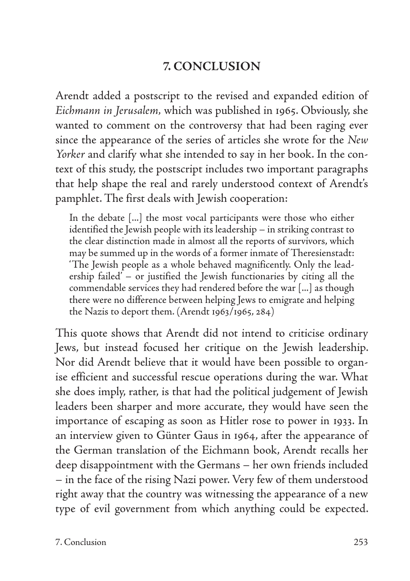## **7. CONCLUSION**

Arendt added a postscript to the revised and expanded edition of *Eichmann in Jerusalem,* which was published in 1965. Obviously, she wanted to comment on the controversy that had been raging ever since the appearance of the series of articles she wrote for the *New Yorker* and clarify what she intended to say in her book. In the context of this study, the postscript includes two important paragraphs that help shape the real and rarely understood context of Arendt's pamphlet. The first deals with Jewish cooperation:

In the debate [...] the most vocal participants were those who either identified the Jewish people with its leadership – in striking contrast to the clear distinction made in almost all the reports of survivors, which may be summed up in the words of a former inmate of Theresienstadt: 'The Jewish people as a whole behaved magnificently. Only the leadership failed' – or justified the Jewish functionaries by citing all the commendable services they had rendered before the war [...] as though there were no difference between helping Jews to emigrate and helping the Nazis to deport them. (Arendt 1963/1965, 284)

This quote shows that Arendt did not intend to criticise ordinary Jews, but instead focused her critique on the Jewish leadership. Nor did Arendt believe that it would have been possible to organise efficient and successful rescue operations during the war. What she does imply, rather, is that had the political judgement of Jewish leaders been sharper and more accurate, they would have seen the importance of escaping as soon as Hitler rose to power in 1933. In an interview given to Günter Gaus in 1964, after the appearance of the German translation of the Eichmann book, Arendt recalls her deep disappointment with the Germans – her own friends included – in the face of the rising Nazi power. Very few of them understood right away that the country was witnessing the appearance of a new type of evil government from which anything could be expected.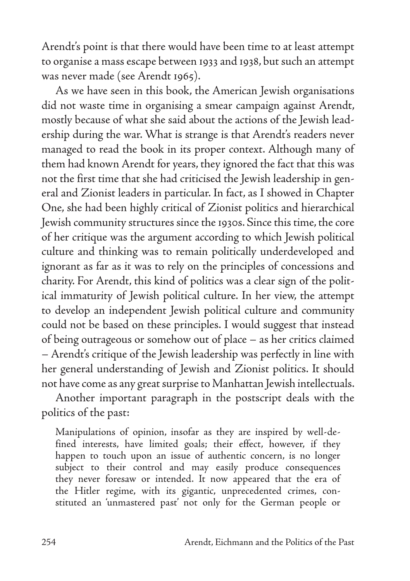Arendt's point is that there would have been time to at least attempt to organise a mass escape between 1933 and 1938, but such an attempt was never made (see Arendt 1965).

As we have seen in this book, the American Jewish organisations did not waste time in organising a smear campaign against Arendt, mostly because of what she said about the actions of the Jewish leadership during the war. What is strange is that Arendt's readers never managed to read the book in its proper context. Although many of them had known Arendt for years, they ignored the fact that this was not the first time that she had criticised the Jewish leadership in general and Zionist leaders in particular. In fact, as I showed in Chapter One, she had been highly critical of Zionist politics and hierarchical Jewish community structures since the 1930s. Since this time, the core of her critique was the argument according to which Jewish political culture and thinking was to remain politically underdeveloped and ignorant as far as it was to rely on the principles of concessions and charity. For Arendt, this kind of politics was a clear sign of the political immaturity of Jewish political culture. In her view, the attempt to develop an independent Jewish political culture and community could not be based on these principles. I would suggest that instead of being outrageous or somehow out of place – as her critics claimed – Arendt's critique of the Jewish leadership was perfectly in line with her general understanding of Jewish and Zionist politics. It should not have come as any great surprise to Manhattan Jewish intellectuals.

Another important paragraph in the postscript deals with the politics of the past:

Manipulations of opinion, insofar as they are inspired by well-defined interests, have limited goals; their effect, however, if they happen to touch upon an issue of authentic concern, is no longer subject to their control and may easily produce consequences they never foresaw or intended. It now appeared that the era of the Hitler regime, with its gigantic, unprecedented crimes, constituted an 'unmastered past' not only for the German people or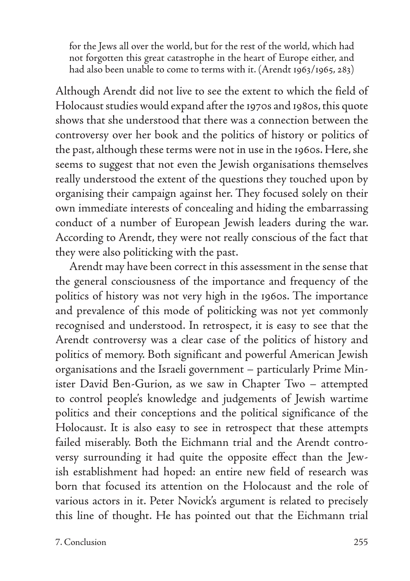for the Jews all over the world, but for the rest of the world, which had not forgotten this great catastrophe in the heart of Europe either, and had also been unable to come to terms with it. (Arendt 1963/1965, 283)

Although Arendt did not live to see the extent to which the field of Holocaust studies would expand after the 1970s and 1980s, this quote shows that she understood that there was a connection between the controversy over her book and the politics of history or politics of the past, although these terms were not in use in the 1960s. Here, she seems to suggest that not even the Jewish organisations themselves really understood the extent of the questions they touched upon by organising their campaign against her. They focused solely on their own immediate interests of concealing and hiding the embarrassing conduct of a number of European Jewish leaders during the war. According to Arendt, they were not really conscious of the fact that they were also politicking with the past.

Arendt may have been correct in this assessment in the sense that the general consciousness of the importance and frequency of the politics of history was not very high in the 1960s. The importance and prevalence of this mode of politicking was not yet commonly recognised and understood. In retrospect, it is easy to see that the Arendt controversy was a clear case of the politics of history and politics of memory. Both significant and powerful American Jewish organisations and the Israeli government – particularly Prime Minister David Ben-Gurion, as we saw in Chapter Two – attempted to control people's knowledge and judgements of Jewish wartime politics and their conceptions and the political significance of the Holocaust. It is also easy to see in retrospect that these attempts failed miserably. Both the Eichmann trial and the Arendt controversy surrounding it had quite the opposite effect than the Jewish establishment had hoped: an entire new field of research was born that focused its attention on the Holocaust and the role of various actors in it. Peter Novick's argument is related to precisely this line of thought. He has pointed out that the Eichmann trial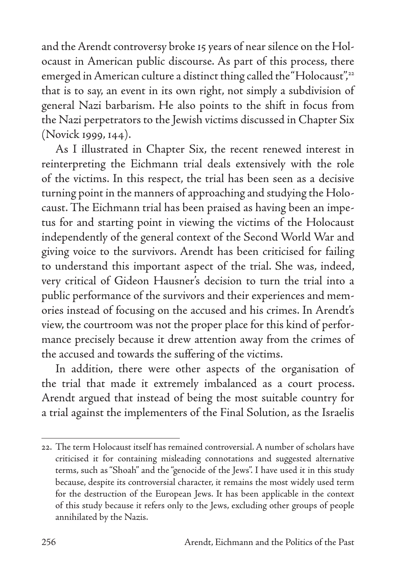and the Arendt controversy broke 15 years of near silence on the Holocaust in American public discourse. As part of this process, there emerged in American culture a distinct thing called the "Holocaust",<sup>22</sup> that is to say, an event in its own right, not simply a subdivision of general Nazi barbarism. He also points to the shift in focus from the Nazi perpetrators to the Jewish victims discussed in Chapter Six (Novick 1999, 144).

As I illustrated in Chapter Six, the recent renewed interest in reinterpreting the Eichmann trial deals extensively with the role of the victims. In this respect, the trial has been seen as a decisive turning point in the manners of approaching and studying the Holocaust. The Eichmann trial has been praised as having been an impetus for and starting point in viewing the victims of the Holocaust independently of the general context of the Second World War and giving voice to the survivors. Arendt has been criticised for failing to understand this important aspect of the trial. She was, indeed, very critical of Gideon Hausner's decision to turn the trial into a public performance of the survivors and their experiences and memories instead of focusing on the accused and his crimes. In Arendt's view, the courtroom was not the proper place for this kind of performance precisely because it drew attention away from the crimes of the accused and towards the suffering of the victims.

In addition, there were other aspects of the organisation of the trial that made it extremely imbalanced as a court process. Arendt argued that instead of being the most suitable country for a trial against the implementers of the Final Solution, as the Israelis

<sup>22.</sup> The term Holocaust itself has remained controversial. A number of scholars have criticised it for containing misleading connotations and suggested alternative terms, such as "Shoah" and the "genocide of the Jews". I have used it in this study because, despite its controversial character, it remains the most widely used term for the destruction of the European Jews. It has been applicable in the context of this study because it refers only to the Jews, excluding other groups of people annihilated by the Nazis.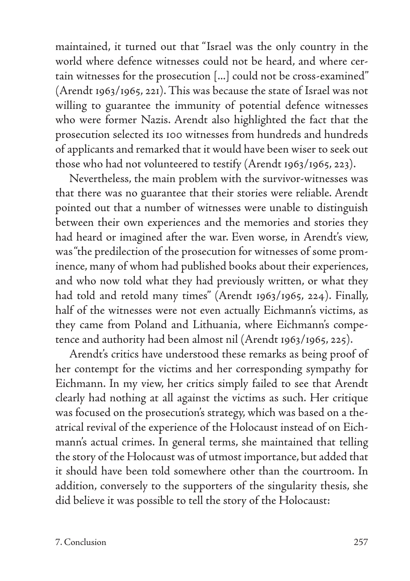maintained, it turned out that "Israel was the only country in the world where defence witnesses could not be heard, and where certain witnesses for the prosecution [...] could not be cross-examined" (Arendt 1963/1965, 221). This was because the state of Israel was not willing to guarantee the immunity of potential defence witnesses who were former Nazis. Arendt also highlighted the fact that the prosecution selected its 100 witnesses from hundreds and hundreds of applicants and remarked that it would have been wiser to seek out those who had not volunteered to testify (Arendt 1963/1965, 223).

Nevertheless, the main problem with the survivor-witnesses was that there was no guarantee that their stories were reliable. Arendt pointed out that a number of witnesses were unable to distinguish between their own experiences and the memories and stories they had heard or imagined after the war. Even worse, in Arendt's view, was "the predilection of the prosecution for witnesses of some prominence, many of whom had published books about their experiences, and who now told what they had previously written, or what they had told and retold many times" (Arendt 1963/1965, 224). Finally, half of the witnesses were not even actually Eichmann's victims, as they came from Poland and Lithuania, where Eichmann's competence and authority had been almost nil (Arendt 1963/1965, 225).

Arendt's critics have understood these remarks as being proof of her contempt for the victims and her corresponding sympathy for Eichmann. In my view, her critics simply failed to see that Arendt clearly had nothing at all against the victims as such. Her critique was focused on the prosecution's strategy, which was based on a theatrical revival of the experience of the Holocaust instead of on Eichmann's actual crimes. In general terms, she maintained that telling the story of the Holocaust was of utmost importance, but added that it should have been told somewhere other than the courtroom. In addition, conversely to the supporters of the singularity thesis, she did believe it was possible to tell the story of the Holocaust: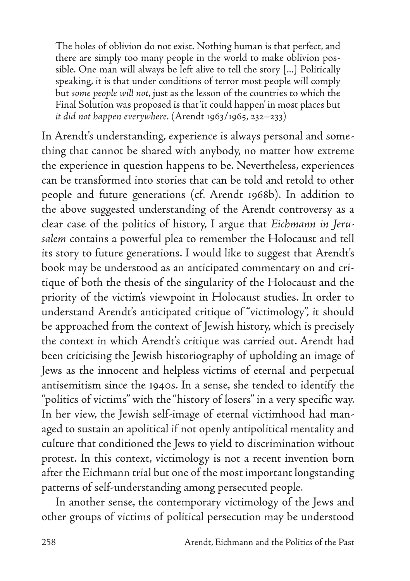The holes of oblivion do not exist. Nothing human is that perfect, and there are simply too many people in the world to make oblivion possible. One man will always be left alive to tell the story [...] Politically speaking, it is that under conditions of terror most people will comply but *some people will not*, just as the lesson of the countries to which the Final Solution was proposed is that 'it could happen' in most places but *it did not happen everywhere.* (Arendt 1963/1965, 232–233)

In Arendt's understanding, experience is always personal and something that cannot be shared with anybody, no matter how extreme the experience in question happens to be. Nevertheless, experiences can be transformed into stories that can be told and retold to other people and future generations (cf. Arendt 1968b). In addition to the above suggested understanding of the Arendt controversy as a clear case of the politics of history, I argue that *Eichmann in Jerusalem* contains a powerful plea to remember the Holocaust and tell its story to future generations. I would like to suggest that Arendt's book may be understood as an anticipated commentary on and critique of both the thesis of the singularity of the Holocaust and the priority of the victim's viewpoint in Holocaust studies. In order to understand Arendt's anticipated critique of "victimology", it should be approached from the context of Jewish history, which is precisely the context in which Arendt's critique was carried out. Arendt had been criticising the Jewish historiography of upholding an image of Jews as the innocent and helpless victims of eternal and perpetual antisemitism since the 1940s. In a sense, she tended to identify the "politics of victims" with the "history of losers" in a very specific way. In her view, the Jewish self-image of eternal victimhood had managed to sustain an apolitical if not openly antipolitical mentality and culture that conditioned the Jews to yield to discrimination without protest. In this context, victimology is not a recent invention born after the Eichmann trial but one of the most important longstanding patterns of self-understanding among persecuted people.

In another sense, the contemporary victimology of the Jews and other groups of victims of political persecution may be understood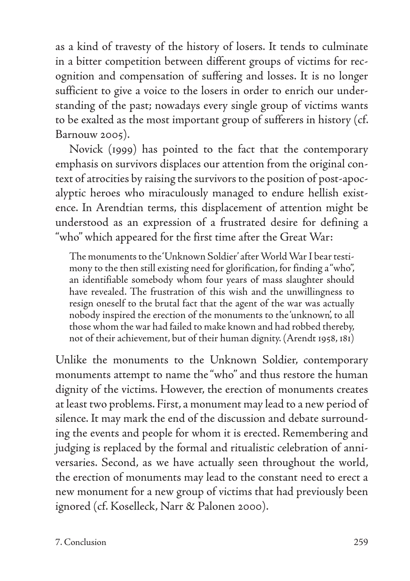as a kind of travesty of the history of losers. It tends to culminate in a bitter competition between different groups of victims for recognition and compensation of suffering and losses. It is no longer sufficient to give a voice to the losers in order to enrich our understanding of the past; nowadays every single group of victims wants to be exalted as the most important group of sufferers in history (cf. Barnouw 2005).

Novick (1999) has pointed to the fact that the contemporary emphasis on survivors displaces our attention from the original context of atrocities by raising the survivors to the position of post-apocalyptic heroes who miraculously managed to endure hellish existence. In Arendtian terms, this displacement of attention might be understood as an expression of a frustrated desire for defining a "who" which appeared for the first time after the Great War:

The monuments to the 'Unknown Soldier' after World War I bear testimony to the then still existing need for glorification, for finding a "who", an identifiable somebody whom four years of mass slaughter should have revealed. The frustration of this wish and the unwillingness to resign oneself to the brutal fact that the agent of the war was actually nobody inspired the erection of the monuments to the 'unknown', to all those whom the war had failed to make known and had robbed thereby, not of their achievement, but of their human dignity. (Arendt 1958, 181)

Unlike the monuments to the Unknown Soldier, contemporary monuments attempt to name the "who" and thus restore the human dignity of the victims. However, the erection of monuments creates at least two problems. First, a monument may lead to a new period of silence. It may mark the end of the discussion and debate surrounding the events and people for whom it is erected. Remembering and judging is replaced by the formal and ritualistic celebration of anniversaries. Second, as we have actually seen throughout the world, the erection of monuments may lead to the constant need to erect a new monument for a new group of victims that had previously been ignored (cf. Koselleck, Narr & Palonen 2000).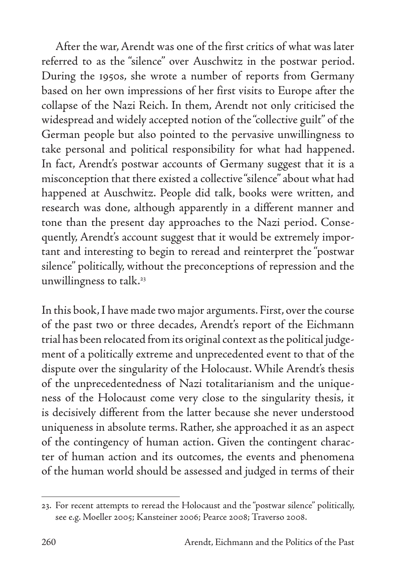After the war, Arendt was one of the first critics of what was later referred to as the "silence" over Auschwitz in the postwar period. During the 1950s, she wrote a number of reports from Germany based on her own impressions of her first visits to Europe after the collapse of the Nazi Reich. In them, Arendt not only criticised the widespread and widely accepted notion of the "collective guilt" of the German people but also pointed to the pervasive unwillingness to take personal and political responsibility for what had happened. In fact, Arendt's postwar accounts of Germany suggest that it is a misconception that there existed a collective "silence" about what had happened at Auschwitz. People did talk, books were written, and research was done, although apparently in a different manner and tone than the present day approaches to the Nazi period. Consequently, Arendt's account suggest that it would be extremely important and interesting to begin to reread and reinterpret the "postwar silence" politically, without the preconceptions of repression and the unwillingness to talk.<sup>23</sup>

In this book, I have made two major arguments. First, over the course of the past two or three decades, Arendt's report of the Eichmann trial has been relocated from its original context as the political judgement of a politically extreme and unprecedented event to that of the dispute over the singularity of the Holocaust. While Arendt's thesis of the unprecedentedness of Nazi totalitarianism and the uniqueness of the Holocaust come very close to the singularity thesis, it is decisively different from the latter because she never understood uniqueness in absolute terms. Rather, she approached it as an aspect of the contingency of human action. Given the contingent character of human action and its outcomes, the events and phenomena of the human world should be assessed and judged in terms of their

<sup>23.</sup> For recent attempts to reread the Holocaust and the "postwar silence" politically, see e.g. Moeller 2005; Kansteiner 2006; Pearce 2008; Traverso 2008.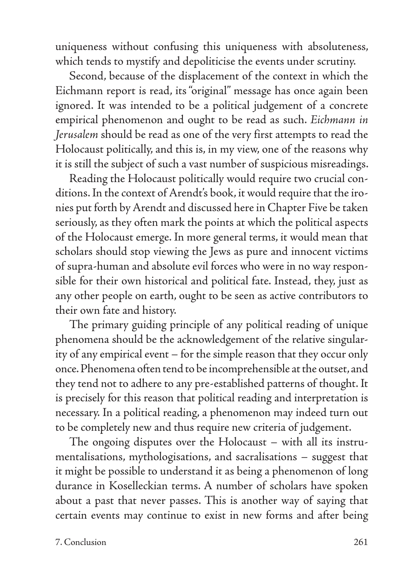uniqueness without confusing this uniqueness with absoluteness, which tends to mystify and depoliticise the events under scrutiny.

Second, because of the displacement of the context in which the Eichmann report is read, its "original" message has once again been ignored. It was intended to be a political judgement of a concrete empirical phenomenon and ought to be read as such. *Eichmann in Jerusalem* should be read as one of the very first attempts to read the Holocaust politically, and this is, in my view, one of the reasons why it is still the subject of such a vast number of suspicious misreadings.

Reading the Holocaust politically would require two crucial conditions. In the context of Arendt's book, it would require that the ironies put forth by Arendt and discussed here in Chapter Five be taken seriously, as they often mark the points at which the political aspects of the Holocaust emerge. In more general terms, it would mean that scholars should stop viewing the Jews as pure and innocent victims of supra-human and absolute evil forces who were in no way responsible for their own historical and political fate. Instead, they, just as any other people on earth, ought to be seen as active contributors to their own fate and history.

The primary guiding principle of any political reading of unique phenomena should be the acknowledgement of the relative singularity of any empirical event – for the simple reason that they occur only once. Phenomena often tend to be incomprehensible at the outset, and they tend not to adhere to any pre-established patterns of thought. It is precisely for this reason that political reading and interpretation is necessary. In a political reading, a phenomenon may indeed turn out to be completely new and thus require new criteria of judgement.

The ongoing disputes over the Holocaust – with all its instrumentalisations, mythologisations, and sacralisations – suggest that it might be possible to understand it as being a phenomenon of long durance in Koselleckian terms. A number of scholars have spoken about a past that never passes. This is another way of saying that certain events may continue to exist in new forms and after being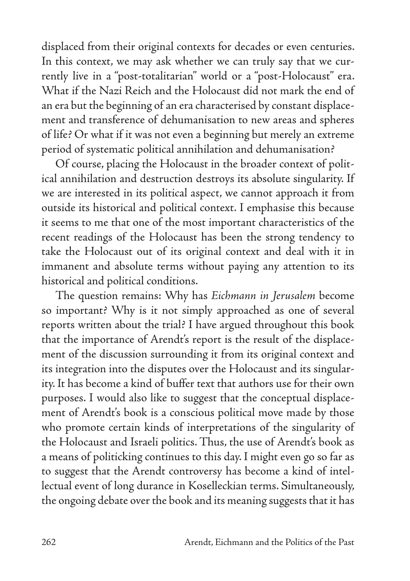displaced from their original contexts for decades or even centuries. In this context, we may ask whether we can truly say that we currently live in a "post-totalitarian" world or a "post-Holocaust" era. What if the Nazi Reich and the Holocaust did not mark the end of an era but the beginning of an era characterised by constant displacement and transference of dehumanisation to new areas and spheres of life? Or what if it was not even a beginning but merely an extreme period of systematic political annihilation and dehumanisation?

Of course, placing the Holocaust in the broader context of political annihilation and destruction destroys its absolute singularity. If we are interested in its political aspect, we cannot approach it from outside its historical and political context. I emphasise this because it seems to me that one of the most important characteristics of the recent readings of the Holocaust has been the strong tendency to take the Holocaust out of its original context and deal with it in immanent and absolute terms without paying any attention to its historical and political conditions.

The question remains: Why has *Eichmann in Jerusalem* become so important? Why is it not simply approached as one of several reports written about the trial? I have argued throughout this book that the importance of Arendt's report is the result of the displacement of the discussion surrounding it from its original context and its integration into the disputes over the Holocaust and its singularity. It has become a kind of buffer text that authors use for their own purposes. I would also like to suggest that the conceptual displacement of Arendt's book is a conscious political move made by those who promote certain kinds of interpretations of the singularity of the Holocaust and Israeli politics. Thus, the use of Arendt's book as a means of politicking continues to this day. I might even go so far as to suggest that the Arendt controversy has become a kind of intellectual event of long durance in Koselleckian terms. Simultaneously, the ongoing debate over the book and its meaning suggests that it has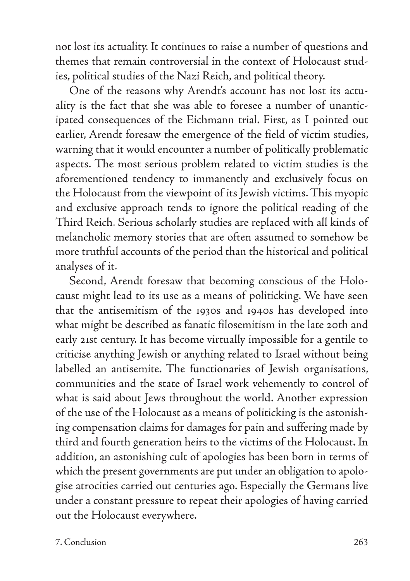not lost its actuality. It continues to raise a number of questions and themes that remain controversial in the context of Holocaust studies, political studies of the Nazi Reich, and political theory.

One of the reasons why Arendt's account has not lost its actuality is the fact that she was able to foresee a number of unanticipated consequences of the Eichmann trial. First, as I pointed out earlier, Arendt foresaw the emergence of the field of victim studies, warning that it would encounter a number of politically problematic aspects. The most serious problem related to victim studies is the aforementioned tendency to immanently and exclusively focus on the Holocaust from the viewpoint of its Jewish victims. This myopic and exclusive approach tends to ignore the political reading of the Third Reich. Serious scholarly studies are replaced with all kinds of melancholic memory stories that are often assumed to somehow be more truthful accounts of the period than the historical and political analyses of it.

Second, Arendt foresaw that becoming conscious of the Holocaust might lead to its use as a means of politicking. We have seen that the antisemitism of the 1930s and 1940s has developed into what might be described as fanatic filosemitism in the late 20th and early 21st century. It has become virtually impossible for a gentile to criticise anything Jewish or anything related to Israel without being labelled an antisemite. The functionaries of Jewish organisations, communities and the state of Israel work vehemently to control of what is said about Jews throughout the world. Another expression of the use of the Holocaust as a means of politicking is the astonishing compensation claims for damages for pain and suffering made by third and fourth generation heirs to the victims of the Holocaust. In addition, an astonishing cult of apologies has been born in terms of which the present governments are put under an obligation to apologise atrocities carried out centuries ago. Especially the Germans live under a constant pressure to repeat their apologies of having carried out the Holocaust everywhere.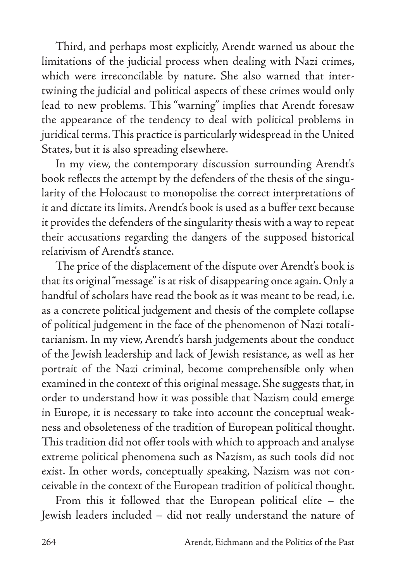Third, and perhaps most explicitly, Arendt warned us about the limitations of the judicial process when dealing with Nazi crimes, which were irreconcilable by nature. She also warned that intertwining the judicial and political aspects of these crimes would only lead to new problems. This "warning" implies that Arendt foresaw the appearance of the tendency to deal with political problems in juridical terms. This practice is particularly widespread in the United States, but it is also spreading elsewhere.

In my view, the contemporary discussion surrounding Arendt's book reflects the attempt by the defenders of the thesis of the singularity of the Holocaust to monopolise the correct interpretations of it and dictate its limits. Arendt's book is used as a buffer text because it provides the defenders of the singularity thesis with a way to repeat their accusations regarding the dangers of the supposed historical relativism of Arendt's stance.

The price of the displacement of the dispute over Arendt's book is that its original "message" is at risk of disappearing once again. Only a handful of scholars have read the book as it was meant to be read, i.e. as a concrete political judgement and thesis of the complete collapse of political judgement in the face of the phenomenon of Nazi totalitarianism. In my view, Arendt's harsh judgements about the conduct of the Jewish leadership and lack of Jewish resistance, as well as her portrait of the Nazi criminal, become comprehensible only when examined in the context of this original message. She suggests that, in order to understand how it was possible that Nazism could emerge in Europe, it is necessary to take into account the conceptual weakness and obsoleteness of the tradition of European political thought. This tradition did not offer tools with which to approach and analyse extreme political phenomena such as Nazism, as such tools did not exist. In other words, conceptually speaking, Nazism was not conceivable in the context of the European tradition of political thought.

From this it followed that the European political elite – the Jewish leaders included – did not really understand the nature of